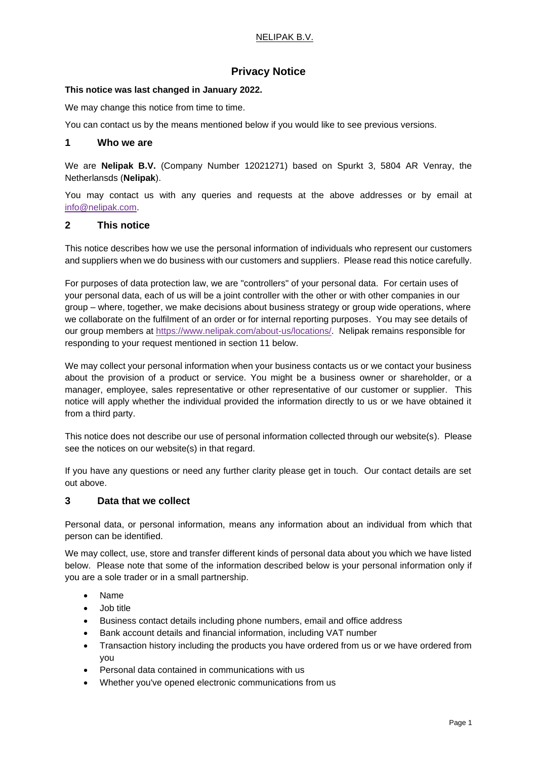## NELIPAK B.V.

# **Privacy Notice**

## **This notice was last changed in January 2022.**

We may change this notice from time to time.

You can contact us by the means mentioned below if you would like to see previous versions.

## **1 Who we are**

We are **Nelipak B.V.** (Company Number 12021271) based on Spurkt 3, 5804 AR Venray, the Netherlansds (**Nelipak**).

You may contact us with any queries and requests at the above addresses or by email at [info@nelipak.com.](mailto:info@nelipak.com)

## **2 This notice**

This notice describes how we use the personal information of individuals who represent our customers and suppliers when we do business with our customers and suppliers. Please read this notice carefully.

For purposes of data protection law, we are "controllers" of your personal data. For certain uses of your personal data, each of us will be a joint controller with the other or with other companies in our group – where, together, we make decisions about business strategy or group wide operations, where we collaborate on the fulfilment of an order or for internal reporting purposes. You may see details of our group members at [https://www.nelipak.com/about-us/locations/.](https://www.nelipak.com/about-us/locations/) Nelipak remains responsible for responding to your request mentioned in section 11 below.

We may collect your personal information when your business contacts us or we contact your business about the provision of a product or service. You might be a business owner or shareholder, or a manager, employee, sales representative or other representative of our customer or supplier. This notice will apply whether the individual provided the information directly to us or we have obtained it from a third party.

This notice does not describe our use of personal information collected through our website(s). Please see the notices on our website(s) in that regard.

If you have any questions or need any further clarity please get in touch. Our contact details are set out above.

## **3 Data that we collect**

Personal data, or personal information, means any information about an individual from which that person can be identified.

We may collect, use, store and transfer different kinds of personal data about you which we have listed below. Please note that some of the information described below is your personal information only if you are a sole trader or in a small partnership.

- Name
- Job title
- Business contact details including phone numbers, email and office address
- Bank account details and financial information, including VAT number
- Transaction history including the products you have ordered from us or we have ordered from you
- Personal data contained in communications with us
- Whether you've opened electronic communications from us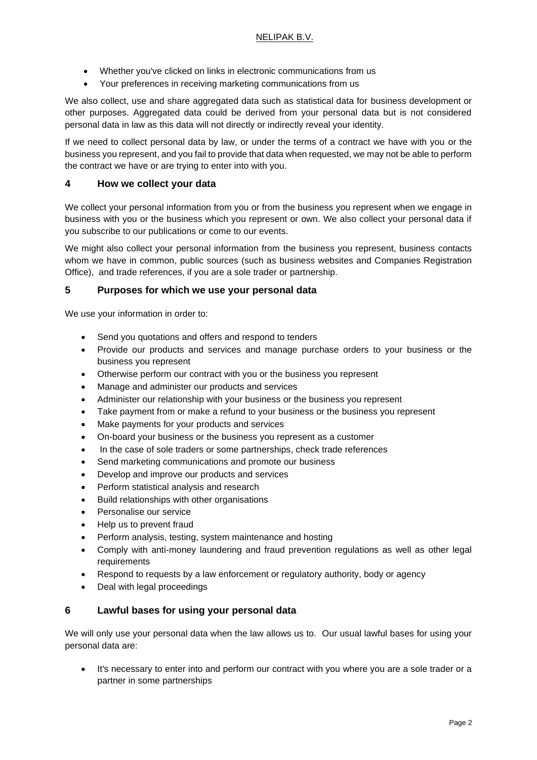- Whether you've clicked on links in electronic communications from us
- Your preferences in receiving marketing communications from us

We also collect, use and share aggregated data such as statistical data for business development or other purposes. Aggregated data could be derived from your personal data but is not considered personal data in law as this data will not directly or indirectly reveal your identity.

If we need to collect personal data by law, or under the terms of a contract we have with you or the business you represent, and you fail to provide that data when requested, we may not be able to perform the contract we have or are trying to enter into with you.

## **4 How we collect your data**

We collect your personal information from you or from the business you represent when we engage in business with you or the business which you represent or own. We also collect your personal data if you subscribe to our publications or come to our events.

We might also collect your personal information from the business you represent, business contacts whom we have in common, public sources (such as business websites and Companies Registration Office), and trade references, if you are a sole trader or partnership.

## **5 Purposes for which we use your personal data**

We use your information in order to:

- Send you quotations and offers and respond to tenders
- Provide our products and services and manage purchase orders to your business or the business you represent
- Otherwise perform our contract with you or the business you represent
- Manage and administer our products and services
- Administer our relationship with your business or the business you represent
- Take payment from or make a refund to your business or the business you represent
- Make payments for your products and services
- On-board your business or the business you represent as a customer
- In the case of sole traders or some partnerships, check trade references
- Send marketing communications and promote our business
- Develop and improve our products and services
- Perform statistical analysis and research
- Build relationships with other organisations
- Personalise our service
- Help us to prevent fraud
- Perform analysis, testing, system maintenance and hosting
- Comply with anti-money laundering and fraud prevention regulations as well as other legal requirements
- Respond to requests by a law enforcement or regulatory authority, body or agency
- Deal with legal proceedings

## **6 Lawful bases for using your personal data**

We will only use your personal data when the law allows us to. Our usual lawful bases for using your personal data are:

It's necessary to enter into and perform our contract with you where you are a sole trader or a partner in some partnerships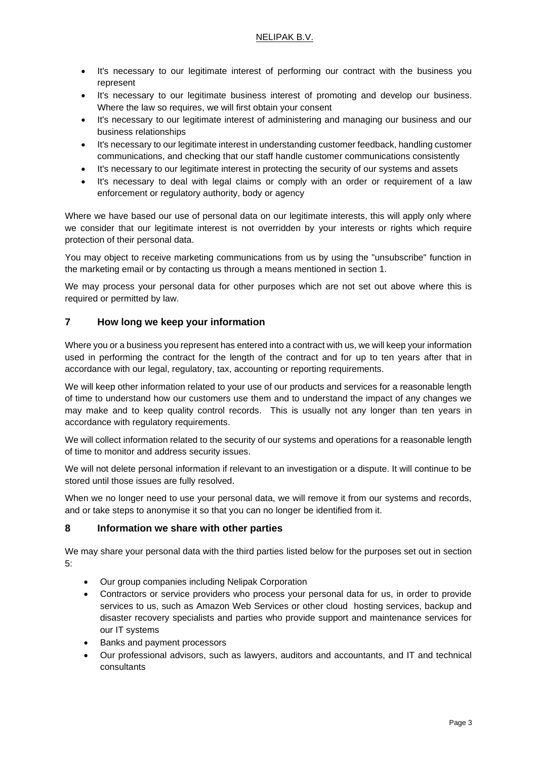- It's necessary to our legitimate interest of performing our contract with the business you represent
- It's necessary to our legitimate business interest of promoting and develop our business. Where the law so requires, we will first obtain your consent
- It's necessary to our legitimate interest of administering and managing our business and our business relationships
- It's necessary to our legitimate interest in understanding customer feedback, handling customer communications, and checking that our staff handle customer communications consistently
- It's necessary to our legitimate interest in protecting the security of our systems and assets
- It's necessary to deal with legal claims or comply with an order or requirement of a law enforcement or regulatory authority, body or agency

Where we have based our use of personal data on our legitimate interests, this will apply only where we consider that our legitimate interest is not overridden by your interests or rights which require protection of their personal data.

You may object to receive marketing communications from us by using the "unsubscribe" function in the marketing email or by contacting us through a means mentioned in section 1.

We may process your personal data for other purposes which are not set out above where this is required or permitted by law.

## **7 How long we keep your information**

Where you or a business you represent has entered into a contract with us, we will keep your information used in performing the contract for the length of the contract and for up to ten years after that in accordance with our legal, regulatory, tax, accounting or reporting requirements.

We will keep other information related to your use of our products and services for a reasonable length of time to understand how our customers use them and to understand the impact of any changes we may make and to keep quality control records. This is usually not any longer than ten years in accordance with regulatory requirements.

We will collect information related to the security of our systems and operations for a reasonable length of time to monitor and address security issues.

We will not delete personal information if relevant to an investigation or a dispute. It will continue to be stored until those issues are fully resolved.

When we no longer need to use your personal data, we will remove it from our systems and records, and or take steps to anonymise it so that you can no longer be identified from it.

## **8 Information we share with other parties**

We may share your personal data with the third parties listed below for the purposes set out in section 5:

- Our group companies including Nelipak Corporation
- Contractors or service providers who process your personal data for us, in order to provide services to us, such as Amazon Web Services or other cloud hosting services, backup and disaster recovery specialists and parties who provide support and maintenance services for our IT systems
- Banks and payment processors
- Our professional advisors, such as lawyers, auditors and accountants, and IT and technical consultants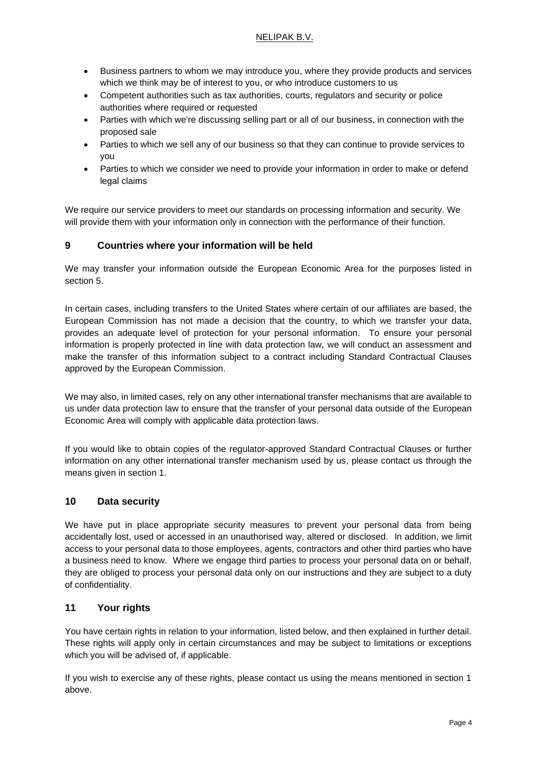## NELIPAK B.V.

- Business partners to whom we may introduce you, where they provide products and services which we think may be of interest to you, or who introduce customers to us
- Competent authorities such as tax authorities, courts, regulators and security or police authorities where required or requested
- Parties with which we're discussing selling part or all of our business, in connection with the proposed sale
- Parties to which we sell any of our business so that they can continue to provide services to you
- Parties to which we consider we need to provide your information in order to make or defend legal claims

We require our service providers to meet our standards on processing information and security. We will provide them with your information only in connection with the performance of their function.

## **9 Countries where your information will be held**

We may transfer your information outside the European Economic Area for the purposes listed in section 5.

In certain cases, including transfers to the United States where certain of our affiliates are based, the European Commission has not made a decision that the country, to which we transfer your data, provides an adequate level of protection for your personal information. To ensure your personal information is properly protected in line with data protection law, we will conduct an assessment and make the transfer of this information subject to a contract including Standard Contractual Clauses approved by the European Commission.

We may also, in limited cases, rely on any other international transfer mechanisms that are available to us under data protection law to ensure that the transfer of your personal data outside of the European Economic Area will comply with applicable data protection laws.

If you would like to obtain copies of the regulator-approved Standard Contractual Clauses or further information on any other international transfer mechanism used by us, please contact us through the means given in section 1.

## **10 Data security**

We have put in place appropriate security measures to prevent your personal data from being accidentally lost, used or accessed in an unauthorised way, altered or disclosed. In addition, we limit access to your personal data to those employees, agents, contractors and other third parties who have a business need to know. Where we engage third parties to process your personal data on or behalf, they are obliged to process your personal data only on our instructions and they are subject to a duty of confidentiality.

## **11 Your rights**

You have certain rights in relation to your information, listed below, and then explained in further detail. These rights will apply only in certain circumstances and may be subject to limitations or exceptions which you will be advised of, if applicable.

If you wish to exercise any of these rights, please contact us using the means mentioned in section 1 above.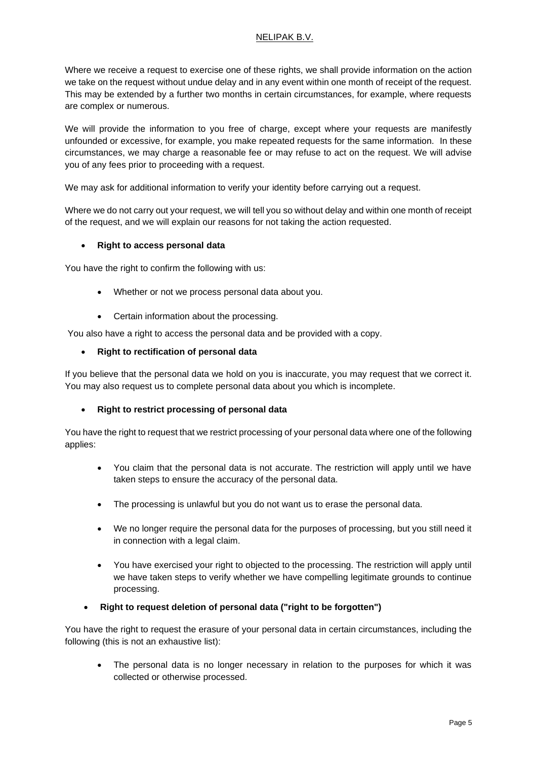## NELIPAK B.V.

Where we receive a request to exercise one of these rights, we shall provide information on the action we take on the request without undue delay and in any event within one month of receipt of the request. This may be extended by a further two months in certain circumstances, for example, where requests are complex or numerous.

We will provide the information to you free of charge, except where your requests are manifestly unfounded or excessive, for example, you make repeated requests for the same information. In these circumstances, we may charge a reasonable fee or may refuse to act on the request. We will advise you of any fees prior to proceeding with a request.

We may ask for additional information to verify your identity before carrying out a request.

Where we do not carry out your request, we will tell you so without delay and within one month of receipt of the request, and we will explain our reasons for not taking the action requested.

## • **Right to access personal data**

You have the right to confirm the following with us:

- Whether or not we process personal data about you.
- Certain information about the processing.

You also have a right to access the personal data and be provided with a copy.

• **Right to rectification of personal data**

If you believe that the personal data we hold on you is inaccurate, you may request that we correct it. You may also request us to complete personal data about you which is incomplete.

## • **Right to restrict processing of personal data**

You have the right to request that we restrict processing of your personal data where one of the following applies:

- You claim that the personal data is not accurate. The restriction will apply until we have taken steps to ensure the accuracy of the personal data.
- The processing is unlawful but you do not want us to erase the personal data.
- We no longer require the personal data for the purposes of processing, but you still need it in connection with a legal claim.
- You have exercised your right to objected to the processing. The restriction will apply until we have taken steps to verify whether we have compelling legitimate grounds to continue processing.
- **Right to request deletion of personal data ("right to be forgotten")**

You have the right to request the erasure of your personal data in certain circumstances, including the following (this is not an exhaustive list):

The personal data is no longer necessary in relation to the purposes for which it was collected or otherwise processed.